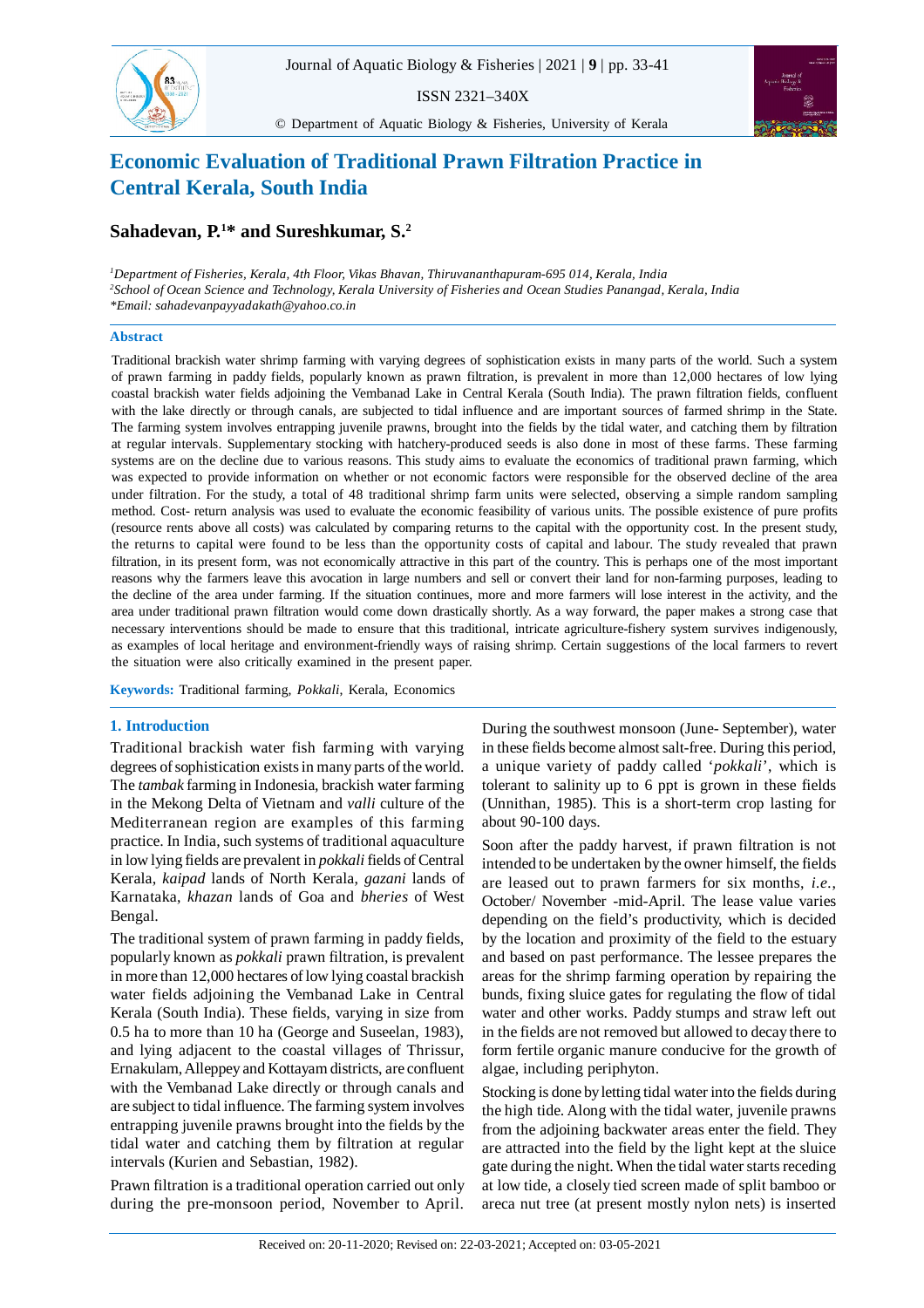

ISSN 2321–340X

© Department of Aquatic Biology & Fisheries, University of Kerala



# **Economic Evaluation of Traditional Prawn Filtration Practice in Central Kerala, South India**

# **Sahadevan, P.<sup>1</sup>\* and Sureshkumar, S.<sup>2</sup>**

*<sup>1</sup>Department of Fisheries, Kerala, 4th Floor, Vikas Bhavan, Thiruvananthapuram-695 014, Kerala, India <sup>2</sup>School of Ocean Science and Technology, Kerala University of Fisheries and Ocean Studies Panangad, Kerala, India \*Email: sahadevanpayyadakath@yahoo.co.in*

# **Abstract**

Traditional brackish water shrimp farming with varying degrees of sophistication exists in many parts of the world. Such a system of prawn farming in paddy fields, popularly known as prawn filtration, is prevalent in more than 12,000 hectares of low lying coastal brackish water fields adjoining the Vembanad Lake in Central Kerala (South India). The prawn filtration fields, confluent with the lake directly or through canals, are subjected to tidal influence and are important sources of farmed shrimp in the State. The farming system involves entrapping juvenile prawns, brought into the fields by the tidal water, and catching them by filtration at regular intervals. Supplementary stocking with hatchery-produced seeds is also done in most of these farms. These farming systems are on the decline due to various reasons. This study aims to evaluate the economics of traditional prawn farming, which was expected to provide information on whether or not economic factors were responsible for the observed decline of the area under filtration. For the study, a total of 48 traditional shrimp farm units were selected, observing a simple random sampling method. Cost- return analysis was used to evaluate the economic feasibility of various units. The possible existence of pure profits (resource rents above all costs) was calculated by comparing returns to the capital with the opportunity cost. In the present study, the returns to capital were found to be less than the opportunity costs of capital and labour. The study revealed that prawn filtration, in its present form, was not economically attractive in this part of the country. This is perhaps one of the most important reasons why the farmers leave this avocation in large numbers and sell or convert their land for non-farming purposes, leading to the decline of the area under farming. If the situation continues, more and more farmers will lose interest in the activity, and the area under traditional prawn filtration would come down drastically shortly. As a way forward, the paper makes a strong case that necessary interventions should be made to ensure that this traditional, intricate agriculture-fishery system survives indigenously, as examples of local heritage and environment-friendly ways of raising shrimp. Certain suggestions of the local farmers to revert the situation were also critically examined in the present paper.

**Keywords:** Traditional farming, *Pokkali*, Kerala, Economics

# **1. Introduction**

Traditional brackish water fish farming with varying degrees of sophistication exists in many parts of the world. The *tambak* farming in Indonesia, brackish water farming in the Mekong Delta of Vietnam and *valli* culture of the Mediterranean region are examples of this farming practice. In India, such systems of traditional aquaculture in low lying fields are prevalent in *pokkali* fields of Central Kerala, *kaipad* lands of North Kerala, *gazani* lands of Karnataka, *khazan* lands of Goa and *bheries* of West Bengal.

The traditional system of prawn farming in paddy fields, popularly known as *pokkali* prawn filtration, is prevalent in more than 12,000 hectares of low lying coastal brackish water fields adjoining the Vembanad Lake in Central Kerala (South India). These fields, varying in size from 0.5 ha to more than 10 ha (George and Suseelan, 1983), and lying adjacent to the coastal villages of Thrissur, Ernakulam, Alleppey and Kottayam districts, are confluent with the Vembanad Lake directly or through canals and are subject to tidal influence. The farming system involves entrapping juvenile prawns brought into the fields by the tidal water and catching them by filtration at regular intervals (Kurien and Sebastian, 1982).

Prawn filtration is a traditional operation carried out only during the pre-monsoon period, November to April. During the southwest monsoon (June- September), water in these fields become almost salt-free. During this period, a unique variety of paddy called '*pokkali*', which is tolerant to salinity up to 6 ppt is grown in these fields (Unnithan, 1985). This is a short-term crop lasting for about 90-100 days.

Soon after the paddy harvest, if prawn filtration is not intended to be undertaken by the owner himself, the fields are leased out to prawn farmers for six months, *i.e.*, October/ November -mid-April. The lease value varies depending on the field's productivity, which is decided by the location and proximity of the field to the estuary and based on past performance. The lessee prepares the areas for the shrimp farming operation by repairing the bunds, fixing sluice gates for regulating the flow of tidal water and other works. Paddy stumps and straw left out in the fields are not removed but allowed to decay there to form fertile organic manure conducive for the growth of algae, including periphyton.

Stocking is done by letting tidal water into the fields during the high tide. Along with the tidal water, juvenile prawns from the adjoining backwater areas enter the field. They are attracted into the field by the light kept at the sluice gate during the night. When the tidal water starts receding at low tide, a closely tied screen made of split bamboo or areca nut tree (at present mostly nylon nets) is inserted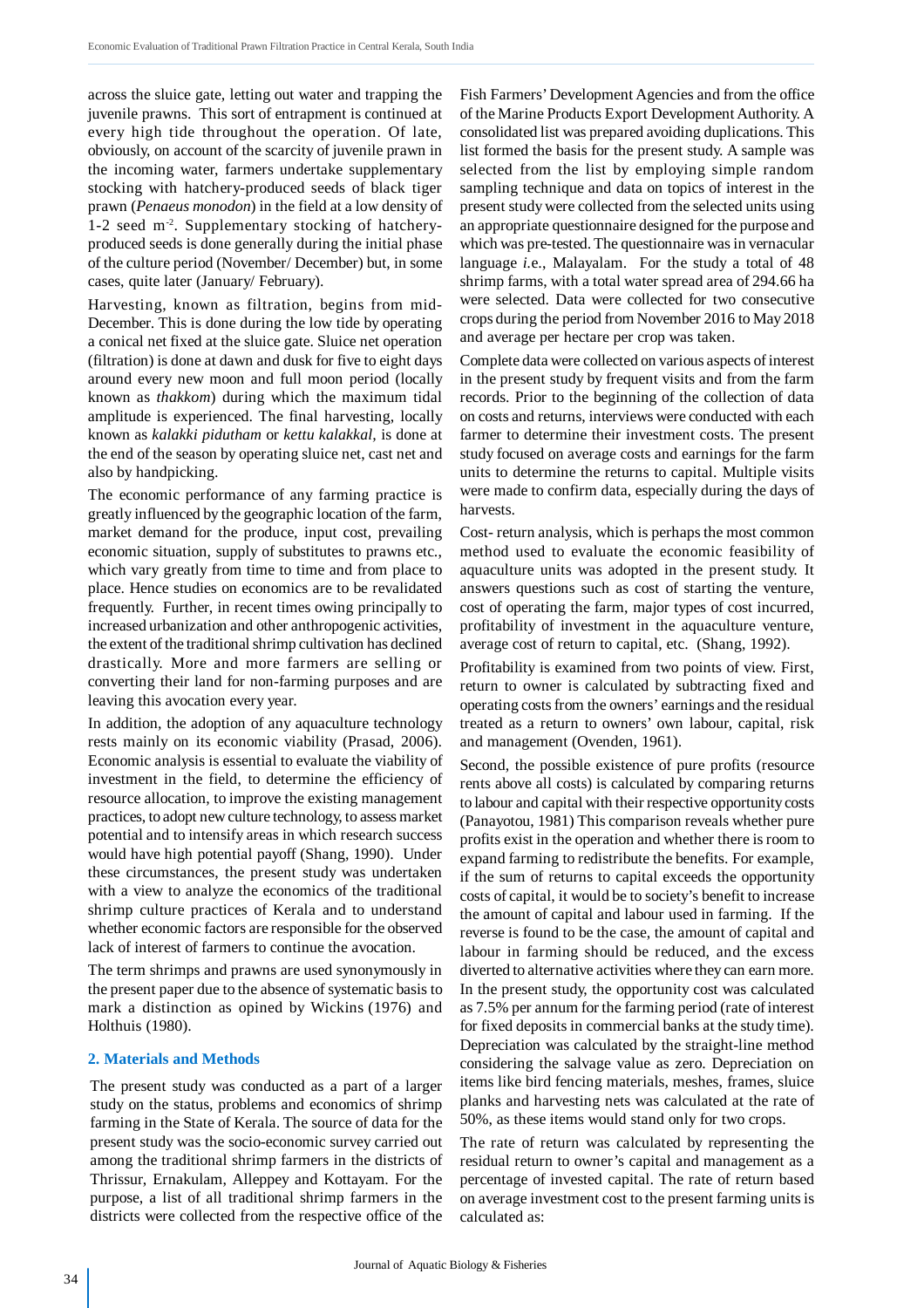across the sluice gate, letting out water and trapping the juvenile prawns. This sort of entrapment is continued at every high tide throughout the operation. Of late, obviously, on account of the scarcity of juvenile prawn in the incoming water, farmers undertake supplementary stocking with hatchery-produced seeds of black tiger prawn (*Penaeus monodon*) in the field at a low density of 1-2 seed m-2. Supplementary stocking of hatcheryproduced seeds is done generally during the initial phase of the culture period (November/ December) but, in some cases, quite later (January/ February).

Harvesting, known as filtration, begins from mid-December. This is done during the low tide by operating a conical net fixed at the sluice gate. Sluice net operation (filtration) is done at dawn and dusk for five to eight days around every new moon and full moon period (locally known as *thakkom*) during which the maximum tidal amplitude is experienced. The final harvesting, locally known as *kalakki pidutham* or *kettu kalakkal,* is done at the end of the season by operating sluice net, cast net and also by handpicking.

The economic performance of any farming practice is greatly influenced by the geographic location of the farm, market demand for the produce, input cost, prevailing economic situation, supply of substitutes to prawns etc., which vary greatly from time to time and from place to place. Hence studies on economics are to be revalidated frequently. Further, in recent times owing principally to increased urbanization and other anthropogenic activities, the extent of the traditional shrimp cultivation has declined drastically. More and more farmers are selling or converting their land for non-farming purposes and are leaving this avocation every year.

In addition, the adoption of any aquaculture technology rests mainly on its economic viability (Prasad, 2006). Economic analysis is essential to evaluate the viability of investment in the field, to determine the efficiency of resource allocation, to improve the existing management practices, to adopt new culture technology, to assess market potential and to intensify areas in which research success would have high potential payoff (Shang, 1990). Under these circumstances, the present study was undertaken with a view to analyze the economics of the traditional shrimp culture practices of Kerala and to understand whether economic factors are responsible for the observed lack of interest of farmers to continue the avocation.

The term shrimps and prawns are used synonymously in the present paper due to the absence of systematic basis to mark a distinction as opined by Wickins (1976) and Holthuis (1980).

#### **2. Materials and Methods**

The present study was conducted as a part of a larger study on the status, problems and economics of shrimp farming in the State of Kerala. The source of data for the present study was the socio-economic survey carried out among the traditional shrimp farmers in the districts of Thrissur, Ernakulam, Alleppey and Kottayam. For the purpose, a list of all traditional shrimp farmers in the districts were collected from the respective office of the Fish Farmers' Development Agencies and from the office of the Marine Products Export Development Authority. A consolidated list was prepared avoiding duplications. This list formed the basis for the present study. A sample was selected from the list by employing simple random sampling technique and data on topics of interest in the present study were collected from the selected units using an appropriate questionnaire designed for the purpose and which was pre-tested. The questionnaire was in vernacular language *i.*e., Malayalam. For the study a total of 48 shrimp farms, with a total water spread area of 294.66 ha were selected. Data were collected for two consecutive crops during the period from November 2016 to May 2018 and average per hectare per crop was taken.

Complete data were collected on various aspects of interest in the present study by frequent visits and from the farm records. Prior to the beginning of the collection of data on costs and returns, interviews were conducted with each farmer to determine their investment costs. The present study focused on average costs and earnings for the farm units to determine the returns to capital. Multiple visits were made to confirm data, especially during the days of harvests.

Cost- return analysis, which is perhaps the most common method used to evaluate the economic feasibility of aquaculture units was adopted in the present study. It answers questions such as cost of starting the venture, cost of operating the farm, major types of cost incurred, profitability of investment in the aquaculture venture, average cost of return to capital, etc. (Shang, 1992).

Profitability is examined from two points of view. First, return to owner is calculated by subtracting fixed and operating costs from the owners' earnings and the residual treated as a return to owners' own labour, capital, risk and management (Ovenden, 1961).

Second, the possible existence of pure profits (resource rents above all costs) is calculated by comparing returns to labour and capital with their respective opportunity costs (Panayotou, 1981) This comparison reveals whether pure profits exist in the operation and whether there is room to expand farming to redistribute the benefits. For example, if the sum of returns to capital exceeds the opportunity costs of capital, it would be to society's benefit to increase the amount of capital and labour used in farming. If the reverse is found to be the case, the amount of capital and labour in farming should be reduced, and the excess diverted to alternative activities where they can earn more. In the present study, the opportunity cost was calculated as 7.5% per annum for the farming period (rate of interest for fixed deposits in commercial banks at the study time). Depreciation was calculated by the straight-line method considering the salvage value as zero. Depreciation on items like bird fencing materials, meshes, frames, sluice planks and harvesting nets was calculated at the rate of 50%, as these items would stand only for two crops.

The rate of return was calculated by representing the residual return to owner's capital and management as a percentage of invested capital. The rate of return based on average investment cost to the present farming units is calculated as: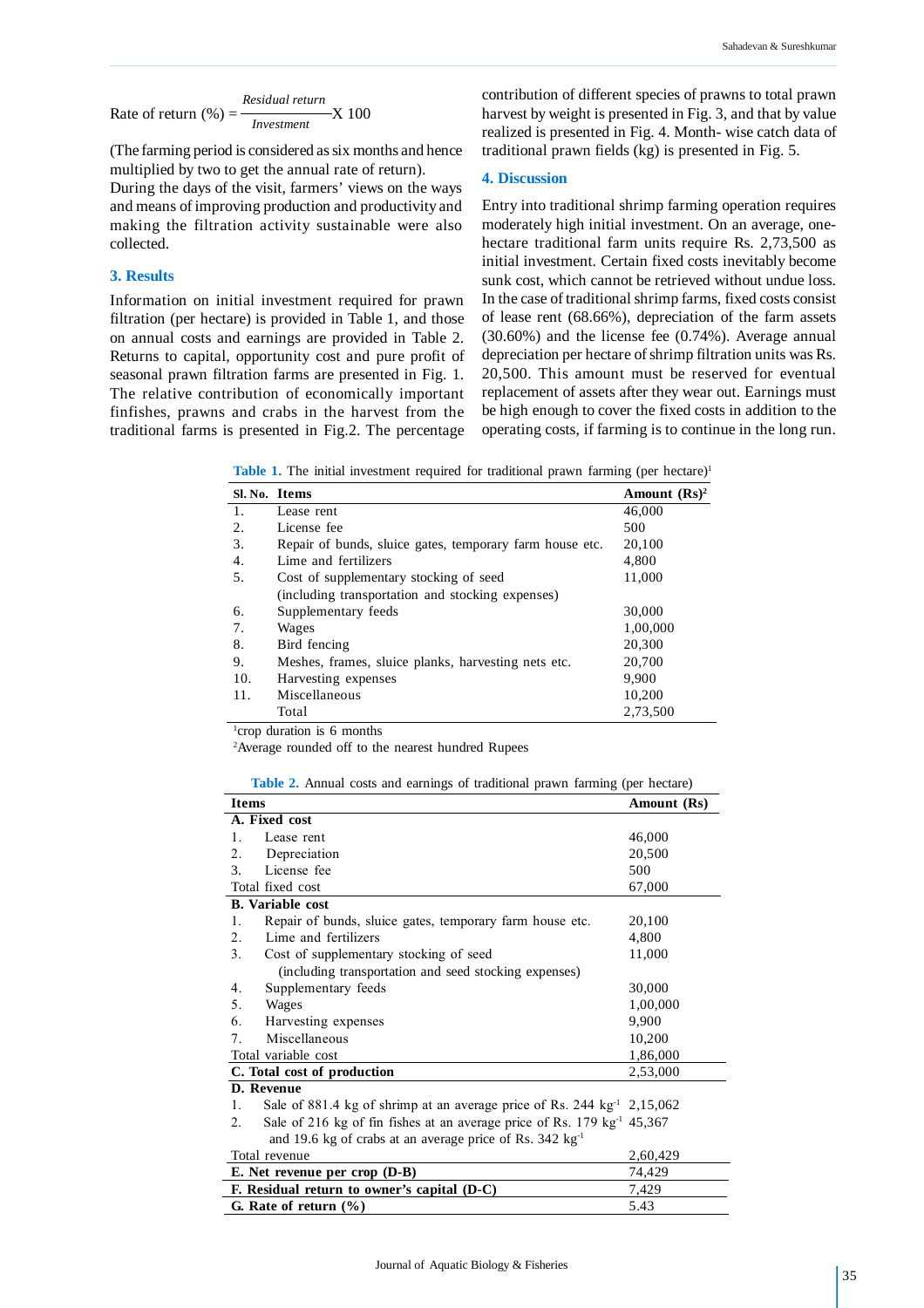Rate of return  $\left(\% \right) = \frac{\ }{\ }$  X 100 *Residual return Investment*

(The farming period is considered as six months and hence multiplied by two to get the annual rate of return).

During the days of the visit, farmers' views on the ways and means of improving production and productivity and making the filtration activity sustainable were also collected.

# **3. Results**

Information on initial investment required for prawn filtration (per hectare) is provided in Table 1, and those on annual costs and earnings are provided in Table 2. Returns to capital, opportunity cost and pure profit of seasonal prawn filtration farms are presented in Fig. 1. The relative contribution of economically important finfishes, prawns and crabs in the harvest from the traditional farms is presented in Fig.2. The percentage contribution of different species of prawns to total prawn harvest by weight is presented in Fig. 3, and that by value realized is presented in Fig. 4. Month- wise catch data of traditional prawn fields (kg) is presented in Fig. 5.

#### **4. Discussion**

Entry into traditional shrimp farming operation requires moderately high initial investment. On an average, onehectare traditional farm units require Rs. 2,73,500 as initial investment. Certain fixed costs inevitably become sunk cost, which cannot be retrieved without undue loss. In the case of traditional shrimp farms, fixed costs consist of lease rent (68.66%), depreciation of the farm assets (30.60%) and the license fee (0.74%). Average annual depreciation per hectare of shrimp filtration units was Rs. 20,500. This amount must be reserved for eventual replacement of assets after they wear out. Earnings must be high enough to cover the fixed costs in addition to the operating costs, if farming is to continue in the long run.

**Table 1.** The initial investment required for traditional prawn farming (per hectare)<sup>1</sup>

|     | Sl. No. Items                                            | Amount $(Rs)^2$ |
|-----|----------------------------------------------------------|-----------------|
| 1.  | Lease rent                                               | 46,000          |
| 2.  | License fee                                              | 500             |
| 3.  | Repair of bunds, sluice gates, temporary farm house etc. | 20,100          |
| 4.  | Lime and fertilizers                                     | 4,800           |
| 5.  | Cost of supplementary stocking of seed                   | 11,000          |
|     | (including transportation and stocking expenses)         |                 |
| 6.  | Supplementary feeds                                      | 30,000          |
| 7.  | Wages                                                    | 1,00,000        |
| 8.  | Bird fencing                                             | 20,300          |
| 9.  | Meshes, frames, sluice planks, harvesting nets etc.      | 20,700          |
| 10. | Harvesting expenses                                      | 9,900           |
| 11. | Miscellaneous                                            | 10,200          |
|     | Total                                                    | 2,73,500        |

<sup>1</sup>crop duration is 6 months

<sup>2</sup>Average rounded off to the nearest hundred Rupees

| Table 2. Annual costs and earnings of traditional prawn farming (per hectare) |  |  |  |  |
|-------------------------------------------------------------------------------|--|--|--|--|
|                                                                               |  |  |  |  |

| <b>Items</b>                                | Amount (Rs)                                                                         |          |  |
|---------------------------------------------|-------------------------------------------------------------------------------------|----------|--|
|                                             | A. Fixed cost                                                                       |          |  |
| 1.                                          | Lease rent                                                                          | 46,000   |  |
| 2.                                          | Depreciation                                                                        | 20,500   |  |
| $\mathcal{F}_{\mathcal{F}}$                 | License fee                                                                         | 500      |  |
| Total fixed cost                            | 67,000                                                                              |          |  |
|                                             | <b>B.</b> Variable cost                                                             |          |  |
| 1.                                          | Repair of bunds, sluice gates, temporary farm house etc.                            | 20,100   |  |
| 2.                                          | Lime and fertilizers                                                                | 4,800    |  |
| 3.                                          | Cost of supplementary stocking of seed                                              | 11,000   |  |
|                                             | (including transportation and seed stocking expenses)                               |          |  |
| 4.                                          | Supplementary feeds                                                                 | 30,000   |  |
| 5.                                          | Wages                                                                               | 1,00,000 |  |
| 6.                                          | Harvesting expenses                                                                 | 9,900    |  |
| $7_{\cdot}$                                 | Miscellaneous                                                                       | 10,200   |  |
| Total variable cost                         | 1,86,000                                                                            |          |  |
| C. Total cost of production                 | 2,53,000                                                                            |          |  |
|                                             | D. Revenue                                                                          |          |  |
| 1.                                          | Sale of 881.4 kg of shrimp at an average price of Rs. 244 kg <sup>-1</sup> 2,15,062 |          |  |
| 2.                                          | Sale of 216 kg of fin fishes at an average price of Rs. 179 kg <sup>-1</sup> 45,367 |          |  |
|                                             | and 19.6 kg of crabs at an average price of Rs. 342 kg <sup>-1</sup>                |          |  |
| Total revenue                               | 2,60,429                                                                            |          |  |
| E. Net revenue per crop $(D-B)$             | 74,429                                                                              |          |  |
| F. Residual return to owner's capital (D-C) | 7,429                                                                               |          |  |
| G. Rate of return $(\% )$                   | 5.43                                                                                |          |  |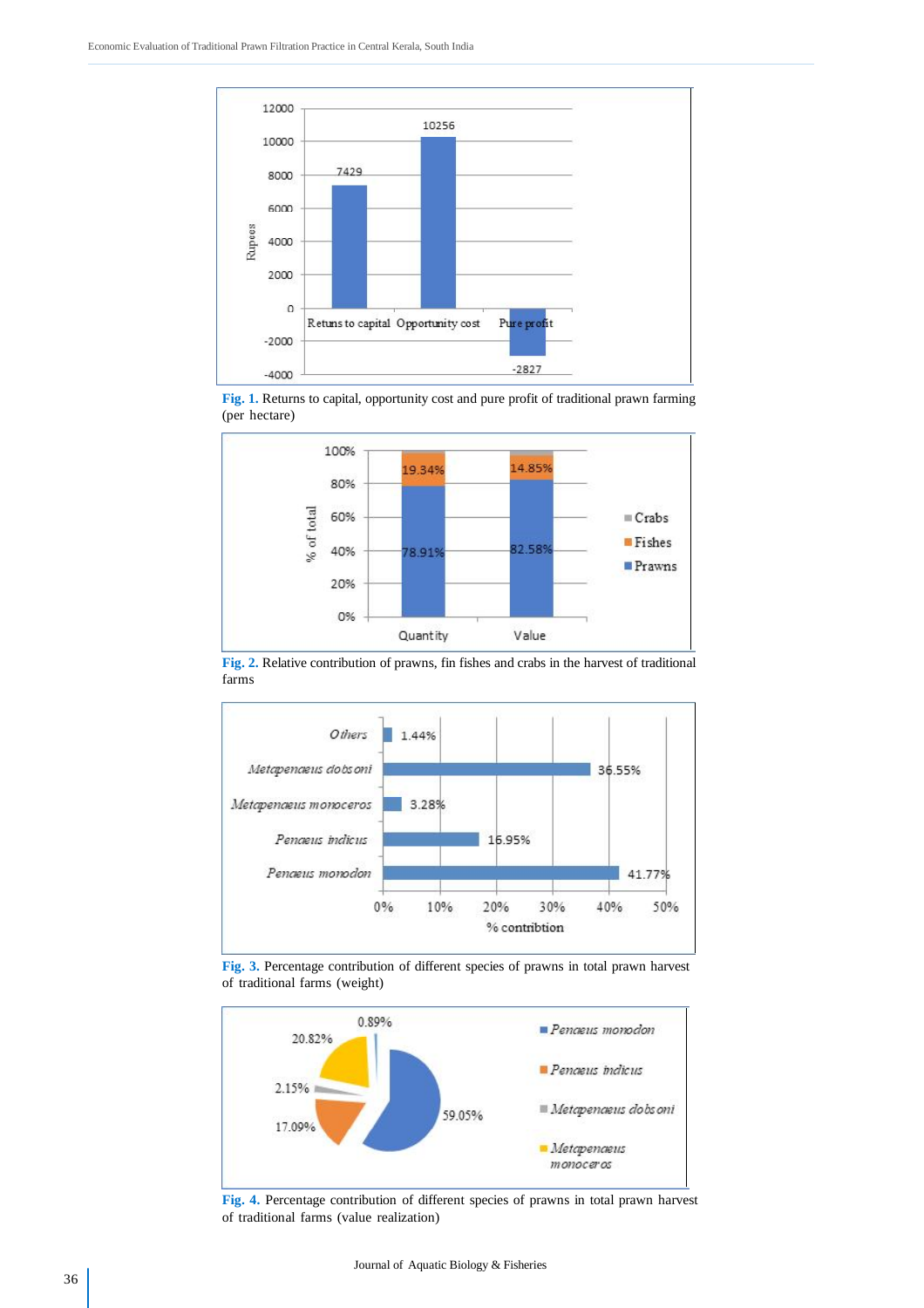





**Fig. 2.** Relative contribution of prawns, fin fishes and crabs in the harvest of traditional farms



**Fig. 3.** Percentage contribution of different species of prawns in total prawn harvest of traditional farms (weight)



**Fig. 4.** Percentage contribution of different species of prawns in total prawn harvest of traditional farms (value realization)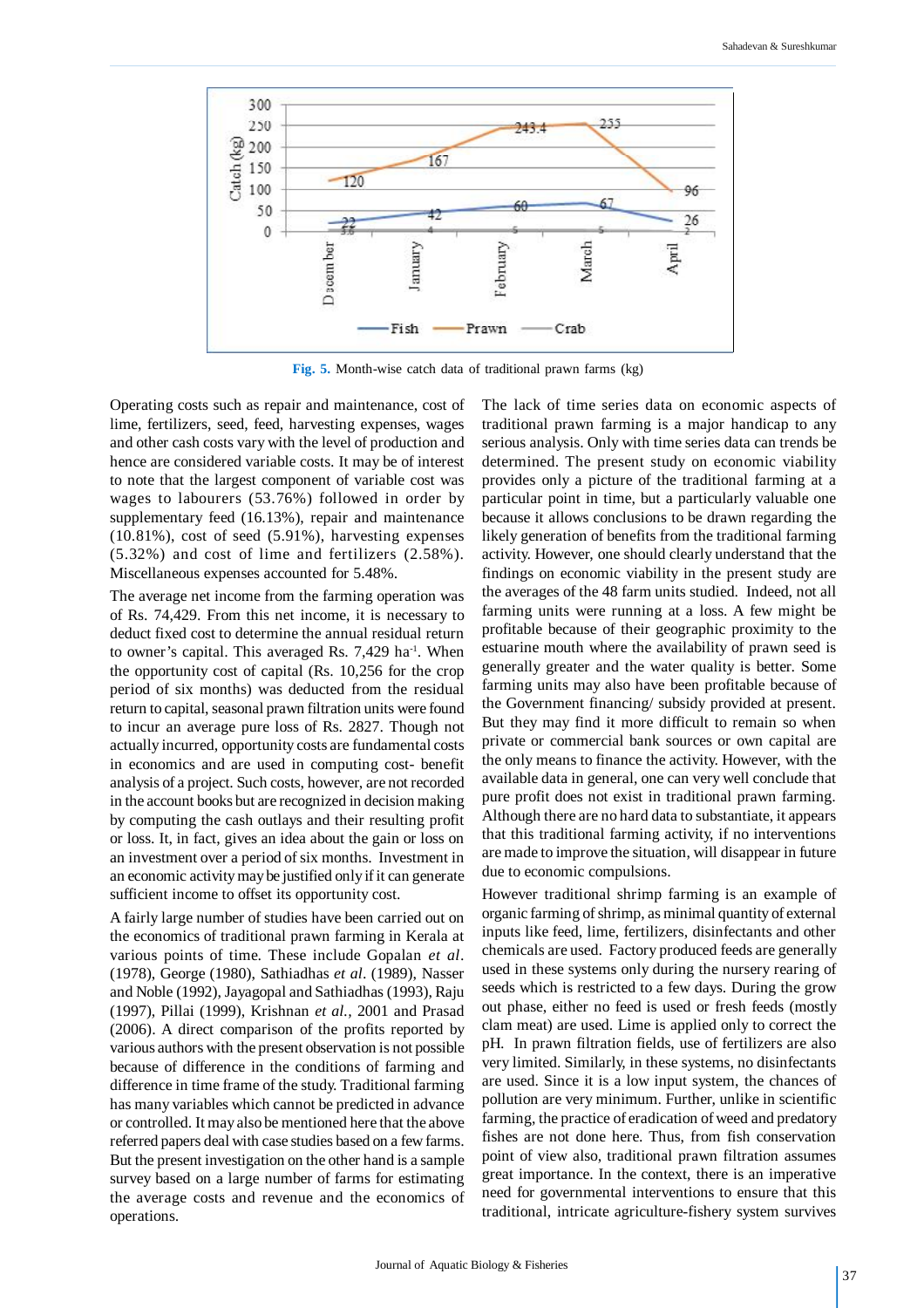

**Fig. 5.** Month-wise catch data of traditional prawn farms (kg)

Operating costs such as repair and maintenance, cost of lime, fertilizers, seed, feed, harvesting expenses, wages and other cash costs vary with the level of production and hence are considered variable costs. It may be of interest to note that the largest component of variable cost was wages to labourers (53.76%) followed in order by supplementary feed (16.13%), repair and maintenance (10.81%), cost of seed (5.91%), harvesting expenses (5.32%) and cost of lime and fertilizers (2.58%). Miscellaneous expenses accounted for 5.48%.

The average net income from the farming operation was of Rs. 74,429. From this net income, it is necessary to deduct fixed cost to determine the annual residual return to owner's capital. This averaged Rs. 7,429 ha<sup>-1</sup>. When the opportunity cost of capital (Rs. 10,256 for the crop period of six months) was deducted from the residual return to capital, seasonal prawn filtration units were found to incur an average pure loss of Rs. 2827. Though not actually incurred, opportunity costs are fundamental costs in economics and are used in computing cost- benefit analysis of a project. Such costs, however, are not recorded in the account books but are recognized in decision making by computing the cash outlays and their resulting profit or loss. It, in fact, gives an idea about the gain or loss on an investment over a period of six months. Investment in an economic activity may be justified only if it can generate sufficient income to offset its opportunity cost.

A fairly large number of studies have been carried out on the economics of traditional prawn farming in Kerala at various points of time. These include Gopalan *et al*. (1978), George (1980), Sathiadhas *et al*. (1989), Nasser and Noble (1992), Jayagopal and Sathiadhas (1993), Raju (1997), Pillai (1999), Krishnan *et al.,* 2001 and Prasad (2006). A direct comparison of the profits reported by various authors with the present observation is not possible because of difference in the conditions of farming and difference in time frame of the study. Traditional farming has many variables which cannot be predicted in advance or controlled. It may also be mentioned here that the above referred papers deal with case studies based on a few farms. But the present investigation on the other hand is a sample survey based on a large number of farms for estimating the average costs and revenue and the economics of operations.

The lack of time series data on economic aspects of traditional prawn farming is a major handicap to any serious analysis. Only with time series data can trends be determined. The present study on economic viability provides only a picture of the traditional farming at a particular point in time, but a particularly valuable one because it allows conclusions to be drawn regarding the likely generation of benefits from the traditional farming activity. However, one should clearly understand that the findings on economic viability in the present study are the averages of the 48 farm units studied. Indeed, not all farming units were running at a loss. A few might be profitable because of their geographic proximity to the estuarine mouth where the availability of prawn seed is generally greater and the water quality is better. Some farming units may also have been profitable because of the Government financing/ subsidy provided at present. But they may find it more difficult to remain so when private or commercial bank sources or own capital are the only means to finance the activity. However, with the available data in general, one can very well conclude that pure profit does not exist in traditional prawn farming. Although there are no hard data to substantiate, it appears that this traditional farming activity, if no interventions are made to improve the situation, will disappear in future due to economic compulsions.

However traditional shrimp farming is an example of organic farming of shrimp, as minimal quantity of external inputs like feed, lime, fertilizers, disinfectants and other chemicals are used. Factory produced feeds are generally used in these systems only during the nursery rearing of seeds which is restricted to a few days. During the grow out phase, either no feed is used or fresh feeds (mostly clam meat) are used. Lime is applied only to correct the pH. In prawn filtration fields, use of fertilizers are also very limited. Similarly, in these systems, no disinfectants are used. Since it is a low input system, the chances of pollution are very minimum. Further, unlike in scientific farming, the practice of eradication of weed and predatory fishes are not done here. Thus, from fish conservation point of view also, traditional prawn filtration assumes great importance. In the context, there is an imperative need for governmental interventions to ensure that this traditional, intricate agriculture-fishery system survives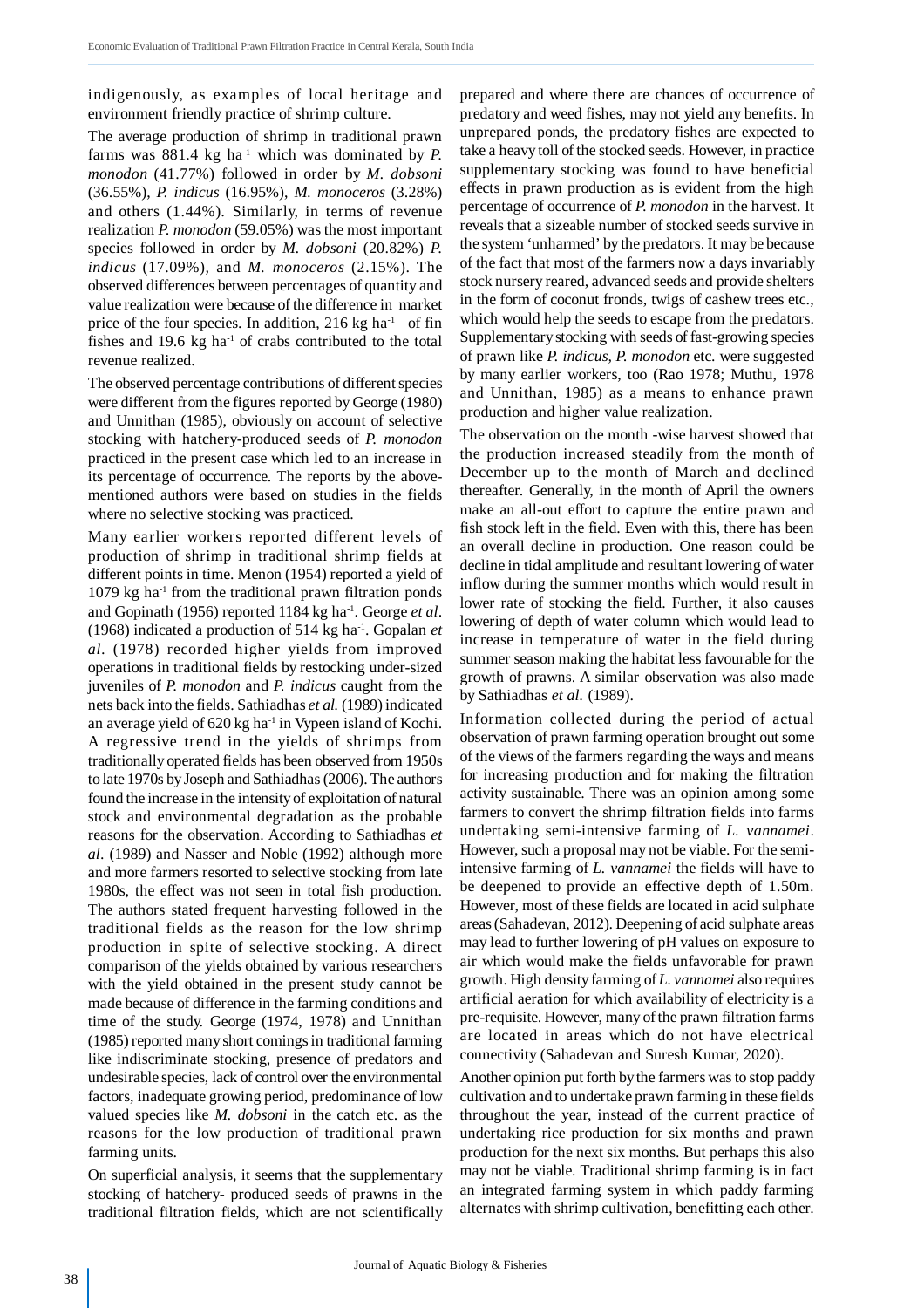indigenously, as examples of local heritage and environment friendly practice of shrimp culture.

The average production of shrimp in traditional prawn farms was  $881.4 \text{ kg}$  ha<sup>-1</sup> which was dominated by *P*. *monodon* (41.77%) followed in order by *M. dobsoni* (36.55%), *P. indicus* (16.95%), *M. monoceros* (3.28%) and others (1.44%)*.* Similarly, in terms of revenue realization *P. monodon* (59.05%) was the most important species followed in order by *M. dobsoni* (20.82%) *P. indicus* (17.09%)*,* and *M. monoceros* (2.15%). The observed differences between percentages of quantity and value realization were because of the difference in market price of the four species. In addition, 216 kg ha<sup>-1</sup> of fin fishes and 19.6 kg ha<sup>-1</sup> of crabs contributed to the total revenue realized.

The observed percentage contributions of different species were different from the figures reported by George (1980) and Unnithan (1985), obviously on account of selective stocking with hatchery-produced seeds of *P. monodon* practiced in the present case which led to an increase in its percentage of occurrence. The reports by the abovementioned authors were based on studies in the fields where no selective stocking was practiced.

Many earlier workers reported different levels of production of shrimp in traditional shrimp fields at different points in time. Menon (1954) reported a yield of  $1079$  kg ha<sup>-1</sup> from the traditional prawn filtration ponds and Gopinath (1956) reported 1184 kg ha-1. George *et al*. (1968) indicated a production of 514 kg ha-1. Gopalan *et al.* (1978) recorded higher yields from improved operations in traditional fields by restocking under-sized juveniles of *P. monodon* and *P. indicus* caught from the nets back into the fields. Sathiadhas *et al.* (1989) indicated an average yield of  $620 \text{ kg}$  ha<sup>-1</sup> in Vypeen island of Kochi. A regressive trend in the yields of shrimps from traditionally operated fields has been observed from 1950s to late 1970s by Joseph and Sathiadhas (2006). The authors found the increase in the intensity of exploitation of natural stock and environmental degradation as the probable reasons for the observation. According to Sathiadhas *et al*. (1989) and Nasser and Noble (1992) although more and more farmers resorted to selective stocking from late 1980s, the effect was not seen in total fish production. The authors stated frequent harvesting followed in the traditional fields as the reason for the low shrimp production in spite of selective stocking. A direct comparison of the yields obtained by various researchers with the yield obtained in the present study cannot be made because of difference in the farming conditions and time of the study. George (1974, 1978) and Unnithan (1985) reported many short comings in traditional farming like indiscriminate stocking, presence of predators and undesirable species, lack of control over the environmental factors, inadequate growing period, predominance of low valued species like *M. dobsoni* in the catch etc. as the reasons for the low production of traditional prawn farming units.

On superficial analysis, it seems that the supplementary stocking of hatchery- produced seeds of prawns in the traditional filtration fields, which are not scientifically prepared and where there are chances of occurrence of predatory and weed fishes, may not yield any benefits. In unprepared ponds, the predatory fishes are expected to take a heavy toll of the stocked seeds. However, in practice supplementary stocking was found to have beneficial effects in prawn production as is evident from the high percentage of occurrence of *P. monodon* in the harvest. It reveals that a sizeable number of stocked seeds survive in the system 'unharmed' by the predators. It may be because of the fact that most of the farmers now a days invariably stock nursery reared, advanced seeds and provide shelters in the form of coconut fronds, twigs of cashew trees etc., which would help the seeds to escape from the predators. Supplementary stocking with seeds of fast-growing species of prawn like *P. indicus, P. monodon* etc. were suggested by many earlier workers, too (Rao 1978; Muthu, 1978 and Unnithan, 1985) as a means to enhance prawn production and higher value realization.

The observation on the month -wise harvest showed that the production increased steadily from the month of December up to the month of March and declined thereafter. Generally, in the month of April the owners make an all-out effort to capture the entire prawn and fish stock left in the field. Even with this, there has been an overall decline in production. One reason could be decline in tidal amplitude and resultant lowering of water inflow during the summer months which would result in lower rate of stocking the field. Further, it also causes lowering of depth of water column which would lead to increase in temperature of water in the field during summer season making the habitat less favourable for the growth of prawns. A similar observation was also made by Sathiadhas *et al.* (1989).

Information collected during the period of actual observation of prawn farming operation brought out some of the views of the farmers regarding the ways and means for increasing production and for making the filtration activity sustainable. There was an opinion among some farmers to convert the shrimp filtration fields into farms undertaking semi-intensive farming of *L. vannamei*. However, such a proposal may not be viable. For the semiintensive farming of *L. vannamei* the fields will have to be deepened to provide an effective depth of 1.50m. However, most of these fields are located in acid sulphate areas (Sahadevan, 2012). Deepening of acid sulphate areas may lead to further lowering of pH values on exposure to air which would make the fields unfavorable for prawn growth. High density farming of *L. vannamei* also requires artificial aeration for which availability of electricity is a pre-requisite. However, many of the prawn filtration farms are located in areas which do not have electrical connectivity (Sahadevan and Suresh Kumar, 2020).

Another opinion put forth by the farmers was to stop paddy cultivation and to undertake prawn farming in these fields throughout the year, instead of the current practice of undertaking rice production for six months and prawn production for the next six months. But perhaps this also may not be viable. Traditional shrimp farming is in fact an integrated farming system in which paddy farming alternates with shrimp cultivation, benefitting each other.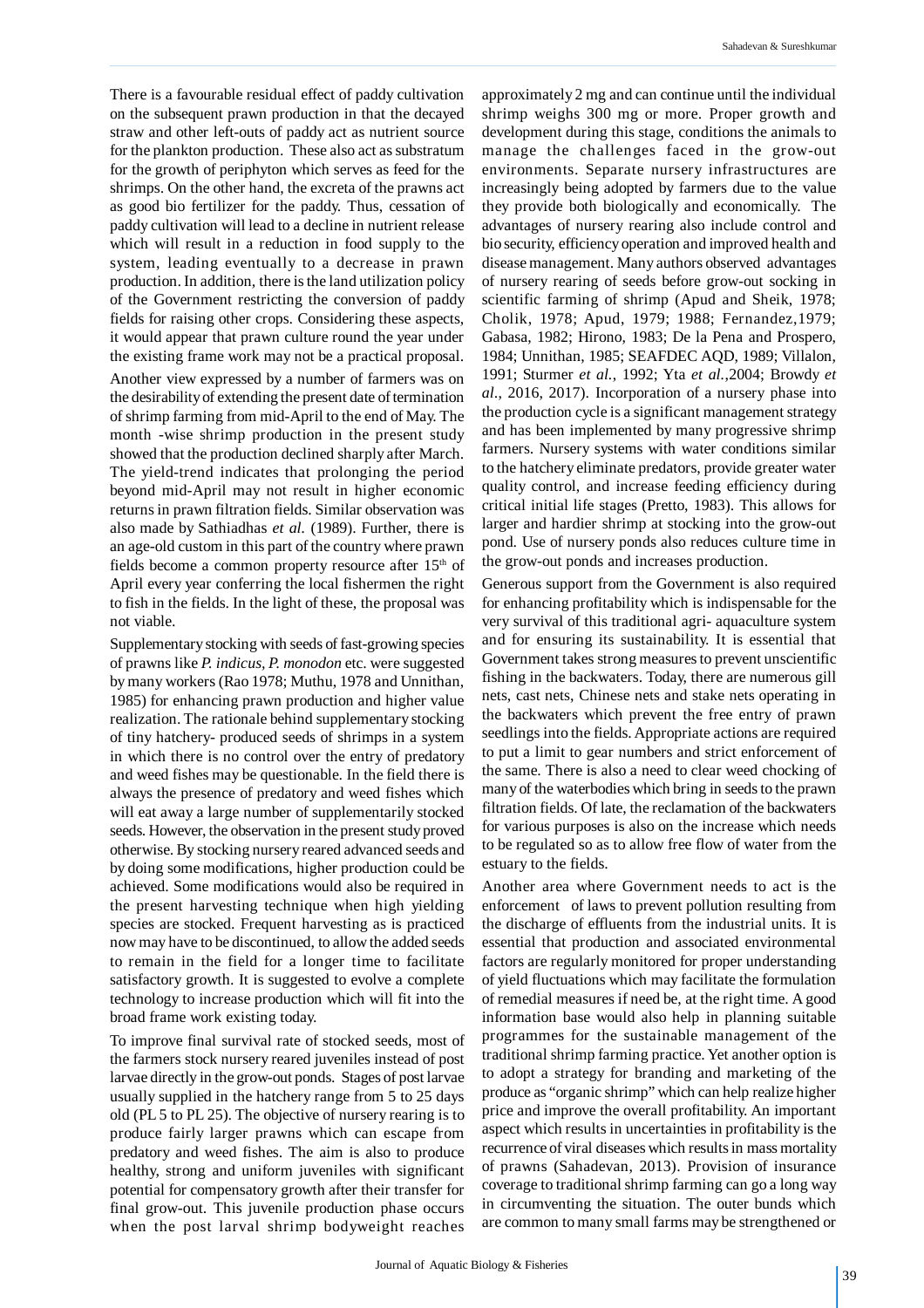There is a favourable residual effect of paddy cultivation on the subsequent prawn production in that the decayed straw and other left-outs of paddy act as nutrient source for the plankton production. These also act as substratum for the growth of periphyton which serves as feed for the shrimps. On the other hand, the excreta of the prawns act as good bio fertilizer for the paddy. Thus, cessation of paddy cultivation will lead to a decline in nutrient release which will result in a reduction in food supply to the system, leading eventually to a decrease in prawn production. In addition, there is the land utilization policy of the Government restricting the conversion of paddy fields for raising other crops. Considering these aspects, it would appear that prawn culture round the year under the existing frame work may not be a practical proposal.

Another view expressed by a number of farmers was on the desirability of extending the present date of termination of shrimp farming from mid-April to the end of May. The month -wise shrimp production in the present study showed that the production declined sharply after March. The yield-trend indicates that prolonging the period beyond mid-April may not result in higher economic returns in prawn filtration fields. Similar observation was also made by Sathiadhas *et al.* (1989). Further, there is an age-old custom in this part of the country where prawn fields become a common property resource after  $15<sup>th</sup>$  of April every year conferring the local fishermen the right to fish in the fields. In the light of these, the proposal was not viable.

Supplementary stocking with seeds of fast-growing species of prawns like *P. indicus, P. monodon* etc. were suggested by many workers (Rao 1978; Muthu, 1978 and Unnithan, 1985) for enhancing prawn production and higher value realization. The rationale behind supplementary stocking of tiny hatchery- produced seeds of shrimps in a system in which there is no control over the entry of predatory and weed fishes may be questionable. In the field there is always the presence of predatory and weed fishes which will eat away a large number of supplementarily stocked seeds. However, the observation in the present study proved otherwise. By stocking nursery reared advanced seeds and by doing some modifications, higher production could be achieved. Some modifications would also be required in the present harvesting technique when high yielding species are stocked. Frequent harvesting as is practiced now may have to be discontinued, to allow the added seeds to remain in the field for a longer time to facilitate satisfactory growth. It is suggested to evolve a complete technology to increase production which will fit into the broad frame work existing today.

To improve final survival rate of stocked seeds, most of the farmers stock nursery reared juveniles instead of post larvae directly in the grow-out ponds. Stages of post larvae usually supplied in the hatchery range from 5 to 25 days old (PL 5 to PL 25). The objective of nursery rearing is to produce fairly larger prawns which can escape from predatory and weed fishes. The aim is also to produce healthy, strong and uniform juveniles with significant potential for compensatory growth after their transfer for final grow-out. This juvenile production phase occurs when the post larval shrimp bodyweight reaches

approximately 2 mg and can continue until the individual shrimp weighs 300 mg or more. Proper growth and development during this stage, conditions the animals to manage the challenges faced in the grow-out environments. Separate nursery infrastructures are increasingly being adopted by farmers due to the value they provide both biologically and economically. The advantages of nursery rearing also include control and bio security, efficiency operation and improved health and disease management. Many authors observed advantages of nursery rearing of seeds before grow-out socking in scientific farming of shrimp (Apud and Sheik, 1978; Cholik, 1978; Apud, 1979; 1988; Fernandez,1979; Gabasa, 1982; Hirono, 1983; De la Pena and Prospero, 1984; Unnithan, 1985; SEAFDEC AQD, 1989; Villalon, 1991; Sturmer *et al.*, 1992; Yta *et al.*,2004; Browdy *et al*., 2016, 2017). Incorporation of a nursery phase into the production cycle is a significant management strategy and has been implemented by many progressive shrimp farmers. Nursery systems with water conditions similar to the hatchery eliminate predators, provide greater water quality control, and increase feeding efficiency during critical initial life stages (Pretto, 1983). This allows for larger and hardier shrimp at stocking into the grow-out pond. Use of nursery ponds also reduces culture time in the grow-out ponds and increases production.

Generous support from the Government is also required for enhancing profitability which is indispensable for the very survival of this traditional agri- aquaculture system and for ensuring its sustainability. It is essential that Government takes strong measures to prevent unscientific fishing in the backwaters. Today, there are numerous gill nets, cast nets, Chinese nets and stake nets operating in the backwaters which prevent the free entry of prawn seedlings into the fields. Appropriate actions are required to put a limit to gear numbers and strict enforcement of the same. There is also a need to clear weed chocking of many of the waterbodies which bring in seeds to the prawn filtration fields. Of late, the reclamation of the backwaters for various purposes is also on the increase which needs to be regulated so as to allow free flow of water from the estuary to the fields.

Another area where Government needs to act is the enforcement of laws to prevent pollution resulting from the discharge of effluents from the industrial units. It is essential that production and associated environmental factors are regularly monitored for proper understanding of yield fluctuations which may facilitate the formulation of remedial measures if need be, at the right time. A good information base would also help in planning suitable programmes for the sustainable management of the traditional shrimp farming practice. Yet another option is to adopt a strategy for branding and marketing of the produce as "organic shrimp" which can help realize higher price and improve the overall profitability. An important aspect which results in uncertainties in profitability is the recurrence of viral diseases which results in mass mortality of prawns (Sahadevan, 2013). Provision of insurance coverage to traditional shrimp farming can go a long way in circumventing the situation. The outer bunds which are common to many small farms may be strengthened or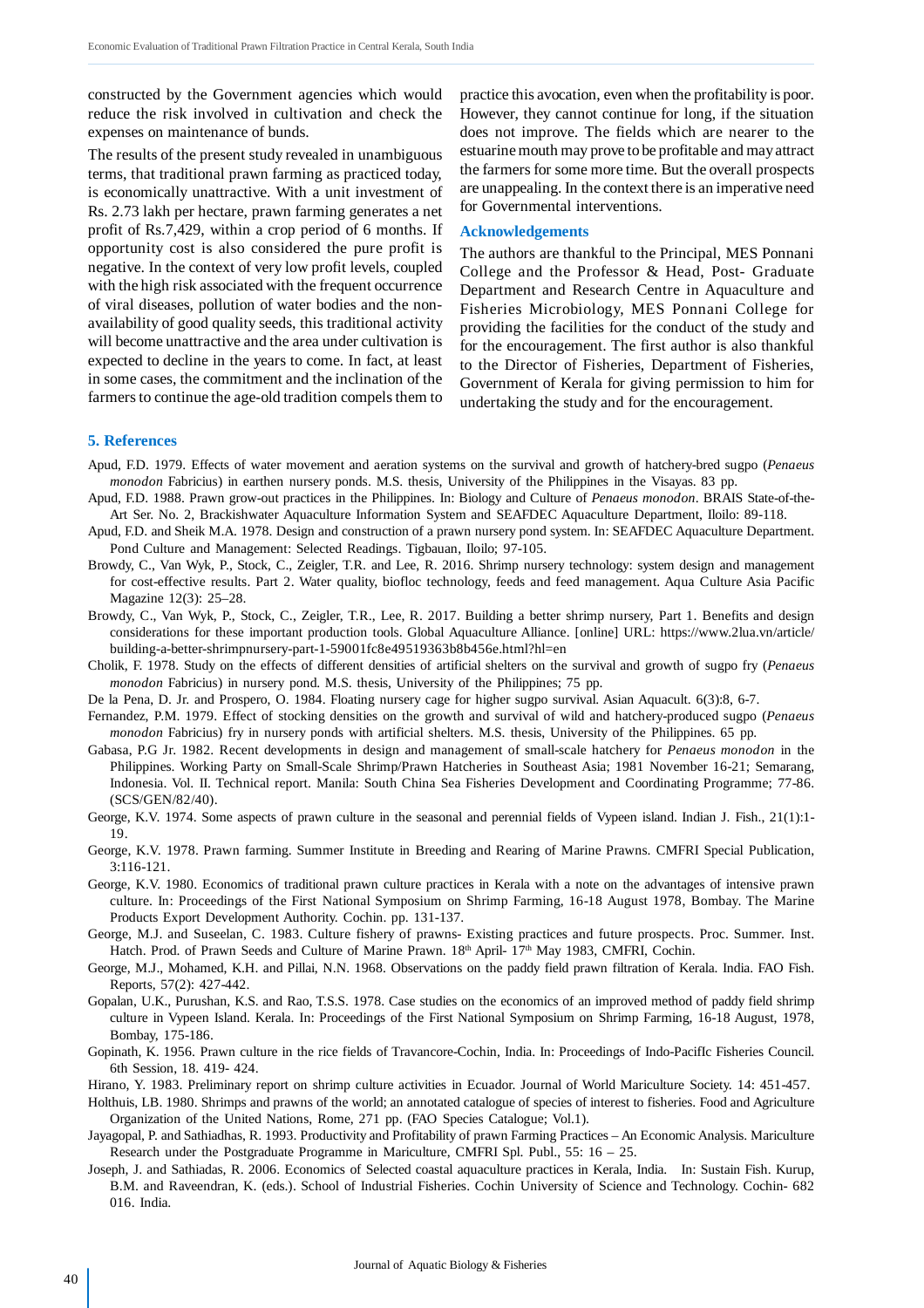constructed by the Government agencies which would reduce the risk involved in cultivation and check the expenses on maintenance of bunds.

The results of the present study revealed in unambiguous terms, that traditional prawn farming as practiced today, is economically unattractive. With a unit investment of Rs. 2.73 lakh per hectare, prawn farming generates a net profit of Rs.7,429, within a crop period of 6 months. If opportunity cost is also considered the pure profit is negative. In the context of very low profit levels, coupled with the high risk associated with the frequent occurrence of viral diseases, pollution of water bodies and the nonavailability of good quality seeds, this traditional activity will become unattractive and the area under cultivation is expected to decline in the years to come. In fact, at least in some cases, the commitment and the inclination of the farmers to continue the age-old tradition compels them to practice this avocation, even when the profitability is poor. However, they cannot continue for long, if the situation does not improve. The fields which are nearer to the estuarine mouth may prove to be profitable and may attract the farmers for some more time. But the overall prospects are unappealing. In the context there is an imperative need for Governmental interventions.

#### **Acknowledgements**

The authors are thankful to the Principal, MES Ponnani College and the Professor & Head, Post- Graduate Department and Research Centre in Aquaculture and Fisheries Microbiology, MES Ponnani College for providing the facilities for the conduct of the study and for the encouragement. The first author is also thankful to the Director of Fisheries, Department of Fisheries, Government of Kerala for giving permission to him for undertaking the study and for the encouragement.

# **5. References**

- Apud, F.D. 1979. Effects of water movement and aeration systems on the survival and growth of hatchery-bred sugpo (*Penaeus monodon* Fabricius) in earthen nursery ponds. M.S. thesis, University of the Philippines in the Visayas. 83 pp.
- Apud, F.D. 1988. Prawn grow-out practices in the Philippines. In: Biology and Culture of *Penaeus monodon*. BRAIS State-of-the-Art Ser. No. 2, Brackishwater Aquaculture Information System and SEAFDEC Aquaculture Department, Iloilo: 89-118.
- Apud, F.D. and Sheik M.A. 1978. Design and construction of a prawn nursery pond system. In: SEAFDEC Aquaculture Department. Pond Culture and Management: Selected Readings. Tigbauan, Iloilo; 97-105.
- Browdy, C., Van Wyk, P., Stock, C., Zeigler, T.R. and Lee, R. 2016. Shrimp nursery technology: system design and management for cost-effective results. Part 2. Water quality, biofloc technology, feeds and feed management. Aqua Culture Asia Pacific Magazine 12(3): 25–28.
- Browdy, C., Van Wyk, P., Stock, C., Zeigler, T.R., Lee, R. 2017. Building a better shrimp nursery, Part 1. Benefits and design considerations for these important production tools. Global Aquaculture Alliance. [online] URL: https://www.2lua.vn/article/ building-a-better-shrimpnursery-part-1-59001fc8e49519363b8b456e.html?hl=en
- Cholik, F. 1978. Study on the effects of different densities of artificial shelters on the survival and growth of sugpo fry (*Penaeus monodon* Fabricius) in nursery pond. M.S. thesis, University of the Philippines; 75 pp.
- De la Pena, D. Jr. and Prospero, O. 1984. Floating nursery cage for higher sugpo survival. Asian Aquacult. 6(3):8, 6-7.
- Fernandez, P.M. 1979. Effect of stocking densities on the growth and survival of wild and hatchery-produced sugpo (*Penaeus monodon* Fabricius) fry in nursery ponds with artificial shelters. M.S. thesis, University of the Philippines. 65 pp.
- Gabasa, P.G Jr. 1982. Recent developments in design and management of small-scale hatchery for *Penaeus monodon* in the Philippines. Working Party on Small-Scale Shrimp/Prawn Hatcheries in Southeast Asia; 1981 November 16-21; Semarang, Indonesia. Vol. II. Technical report. Manila: South China Sea Fisheries Development and Coordinating Programme; 77-86. (SCS/GEN/82/40).
- George, K.V. 1974. Some aspects of prawn culture in the seasonal and perennial fields of Vypeen island. Indian J. Fish., 21(1):1- 19.
- George, K.V. 1978. Prawn farming. Summer Institute in Breeding and Rearing of Marine Prawns. CMFRI Special Publication, 3:116-121.
- George, K.V. 1980. Economics of traditional prawn culture practices in Kerala with a note on the advantages of intensive prawn culture. In: Proceedings of the First National Symposium on Shrimp Farming, 16-18 August 1978, Bombay. The Marine Products Export Development Authority. Cochin. pp. 131-137.
- George, M.J. and Suseelan, C. 1983. Culture fishery of prawns- Existing practices and future prospects. Proc. Summer. Inst. Hatch. Prod. of Prawn Seeds and Culture of Marine Prawn. 18th April- 17th May 1983, CMFRI, Cochin.
- George, M.J., Mohamed, K.H. and Pillai, N.N. 1968. Observations on the paddy field prawn filtration of Kerala. India. FAO Fish. Reports, 57(2): 427-442.
- Gopalan, U.K., Purushan, K.S. and Rao, T.S.S. 1978. Case studies on the economics of an improved method of paddy field shrimp culture in Vypeen Island. Kerala. In: Proceedings of the First National Symposium on Shrimp Farming, 16-18 August, 1978, Bombay, 175-186.
- Gopinath, K. 1956. Prawn culture in the rice fields of Travancore-Cochin, India. In: Proceedings of Indo-PacifIc Fisheries Council. 6th Session, 18. 419- 424.
- Hirano, Y. 1983. Preliminary report on shrimp culture activities in Ecuador. Journal of World Mariculture Society. 14: 451-457. Holthuis, LB. 1980. Shrimps and prawns of the world; an annotated catalogue of species of interest to fisheries. Food and Agriculture

Organization of the United Nations, Rome, 271 pp. (FAO Species Catalogue; Vol.1).

- Jayagopal, P. and Sathiadhas, R. 1993. Productivity and Profitability of prawn Farming Practices An Economic Analysis. Mariculture Research under the Postgraduate Programme in Mariculture, CMFRI Spl. Publ., 55: 16 – 25.
- Joseph, J. and Sathiadas, R. 2006. Economics of Selected coastal aquaculture practices in Kerala, India. In: Sustain Fish. Kurup, B.M. and Raveendran, K. (eds.). School of Industrial Fisheries. Cochin University of Science and Technology. Cochin- 682 016. India.